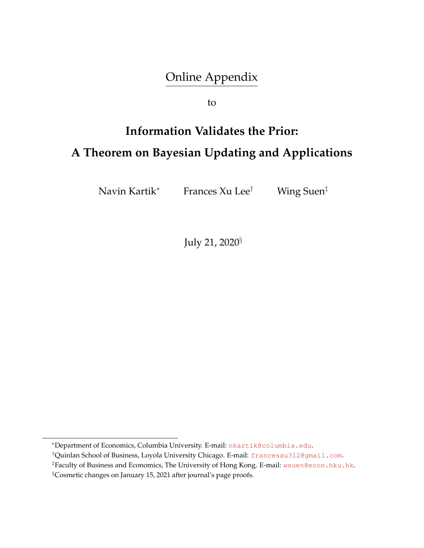# Online Appendix

to

# **Information Validates the Prior: A Theorem on Bayesian Updating and Applications**

Navin Kartik<sup>∗</sup> Frances Xu Lee*†* Wing Suen*‡*

July 21, 2020*§*

<sup>∗</sup>Department of Economics, Columbia University. E-mail: [nkartik@columbia.edu](mailto:nkartik@columbia.edu).

*<sup>†</sup>*Quinlan School of Business, Loyola University Chicago. E-mail: [francesxu312@gmail.com](mailto:francesxu312@gmail.com).

*<sup>‡</sup>*Faculty of Business and Economics, The University of Hong Kong. E-mail: [wsuen@econ.hku.hk](mailto:wsuen@econ.hku.hk).

*<sup>§</sup>*Cosmetic changes on January 15, 2021 after journal's page proofs.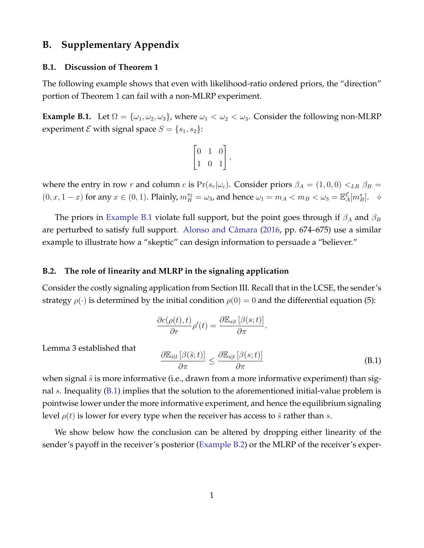### **B. Supplementary Appendix**

#### <span id="page-1-2"></span>**B.1. Discussion of Theorem 1**

The following example shows that even with likelihood-ratio ordered priors, the "direction" portion of Theorem 1 can fail with a non-MLRP experiment.

<span id="page-1-0"></span>**Example B.1.** Let  $\Omega = {\omega_1, \omega_2, \omega_3}$ , where  $\omega_1 < \omega_2 < \omega_3$ . Consider the following non-MLRP experiment *E* with signal space  $S = \{s_1, s_2\}$ :

$$
\begin{bmatrix} 0 & 1 & 0 \\ 1 & 0 & 1 \end{bmatrix},
$$

where the entry in row *r* and column *c* is  $Pr(s_r|\omega_c)$ . Consider priors  $\beta_A = (1,0,0) <_{LR} \beta_B =$  $(0, x, 1-x)$  for any  $x \in (0, 1)$ . Plainly,  $m_B^{s_2} = \omega_3$ , and hence  $\omega_1 = m_A < m_B < \omega_3 = \mathbb{E}_A^{\mathcal{E}}[m_B^s]$ .  $\sim$ 

The priors in [Example](#page-1-0) B.1 violate full support, but the point goes through if  $\beta_A$  and  $\beta_B$ are perturbed to satisfy full support. Alonso and Câmara ([2016,](#page-4-0) pp. 674–675) use a similar example to illustrate how a "skeptic" can design information to persuade a "believer."

#### **B.2. The role of linearity and MLRP in the signaling application**

Consider the costly signaling application from Section III. Recall that in the LCSE, the sender's strategy  $\rho(\cdot)$  is determined by the initial condition  $\rho(0) = 0$  and the differential equation (5):

$$
\frac{\partial c(\rho(t),t)}{\partial r}\rho'(t) = \frac{\partial \mathbb{E}_{s|t} [\beta(s;t)]}{\partial \pi}.
$$

Lemma 3 established that

<span id="page-1-1"></span>
$$
\frac{\partial \mathbb{E}_{\tilde{s}|t} \left[ \beta(\tilde{s};t) \right]}{\partial \pi} \le \frac{\partial \mathbb{E}_{s|t} \left[ \beta(s;t) \right]}{\partial \pi} \tag{B.1}
$$

when signal  $\tilde{s}$  is more informative (i.e., drawn from a more informative experiment) than signal *s*. Inequality ([B.1](#page-1-1)) implies that the solution to the aforementioned initial-value problem is pointwise lower under the more informative experiment, and hence the equilibrium signaling level  $\rho(t)$  is lower for every type when the receiver has access to  $\tilde{s}$  rather than  $s$ .

We show below how the conclusion can be altered by dropping either linearity of the sender's payoff in the receiver's posterior ([Example](#page-2-0) B.2) or the MLRP of the receiver's exper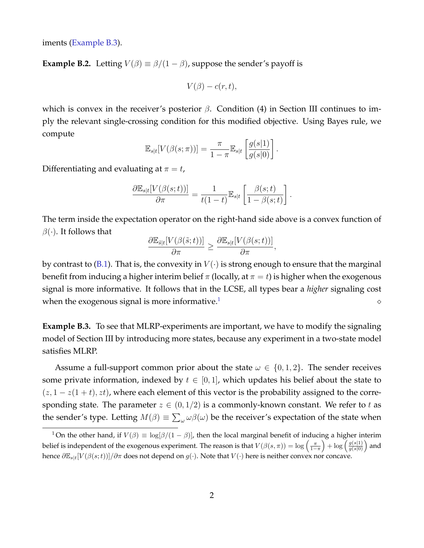<span id="page-2-0"></span>iments ([Example](#page-2-1) B.3).

**Example B.2.** Letting  $V(\beta) \equiv \beta/(1-\beta)$ , suppose the sender's payoff is

$$
V(\beta) - c(r,t),
$$

which is convex in the receiver's posterior  $\beta$ . Condition (4) in Section III continues to imply the relevant single-crossing condition for this modified objective. Using Bayes rule, we compute

$$
\mathbb{E}_{s|t}[V(\beta(s;\pi))] = \frac{\pi}{1-\pi} \mathbb{E}_{s|t} \left[ \frac{g(s|1)}{g(s|0)} \right].
$$

Differentiating and evaluating at  $\pi = t$ ,

$$
\frac{\partial \mathbb{E}_{s|t}[V(\beta(s;t))]}{\partial \pi} = \frac{1}{t(1-t)} \mathbb{E}_{s|t} \left[ \frac{\beta(s;t)}{1 - \beta(s;t)} \right]
$$

*.*

The term inside the expectation operator on the right-hand side above is a convex function of  $\beta(\cdot)$ . It follows that

$$
\frac{\partial \mathbb{E}_{\tilde{s}|t}[V(\beta(\tilde{s};t))]}{\partial \pi} \geq \frac{\partial \mathbb{E}_{s|t}[V(\beta(s;t))]}{\partial \pi},
$$

by contrast to [\(B.1\)](#page-1-1). That is, the convexity in  $V(\cdot)$  is strong enough to ensure that the marginal benefit from inducing a higher interim belief  $\pi$  (locally, at  $\pi = t$ ) is higher when the exogenous signal is more informative. It follows that in the LCSE, all types bear a *higher* signaling cost when the exogenous signal is more informative.<sup>1</sup> [1](#page-2-2)  $\Diamond$ 

<span id="page-2-1"></span>**Example B.3.** To see that MLRP-experiments are important, we have to modify the signaling model of Section III by introducing more states, because any experiment in a two-state model satisfies MLRP.

Assume a full-support common prior about the state  $\omega \in \{0, 1, 2\}$ . The sender receives some private information, indexed by  $t \in [0, 1]$ , which updates his belief about the state to  $(z, 1-z(1+t), zt)$ , where each element of this vector is the probability assigned to the corresponding state. The parameter  $z \in (0,1/2)$  is a commonly-known constant. We refer to t as the sender's type. Letting  $M(\beta) \equiv \sum_{\omega} \omega \beta(\omega)$  be the receiver's expectation of the state when

<span id="page-2-2"></span><sup>&</sup>lt;sup>1</sup> On the other hand, if  $V(\beta) \equiv \log[\beta/(1-\beta)]$ , then the local marginal benefit of inducing a higher interim belief is independent of the exogenous experiment. The reason is that  $V(\beta(s,\pi)) = \log \left( \frac{\pi}{1-s} \right)$  $1-\pi$  $\int + \log \left( \frac{g(s|1)}{g(s|0)} \right)$ *g*(*s|*0) ) and hence ∂E*s|t*[*V* (β(*s*;*t*))]*/*∂π does not depend on *g*(*·*). Note that *V* (*·*) here is neither convex nor concave.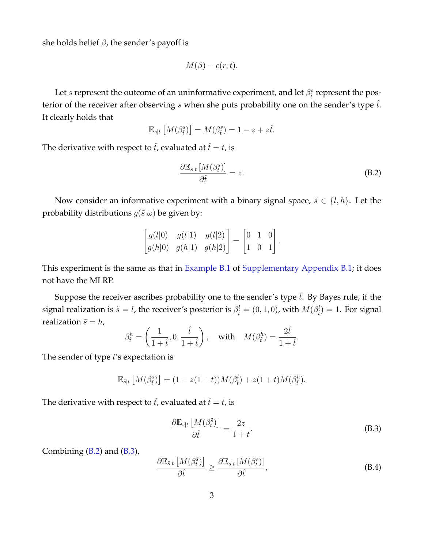she holds belief  $\beta$ , the sender's payoff is

$$
M(\beta) - c(r,t).
$$

Let *s* represent the outcome of an uninformative experiment, and let  $\beta_i^s$  represent the posterior of the receiver after observing  $s$  when she puts probability one on the sender's type  $\hat{t}$ . It clearly holds that

$$
\mathbb{E}_{s|t}\left[M(\beta_i^s)\right] = M(\beta_i^s) = 1 - z + z\hat{t}.
$$

The derivative with respect to  $\hat{t}$ , evaluated at  $\hat{t} = t$ , is

<span id="page-3-0"></span>
$$
\frac{\partial \mathbb{E}_{s|t} \left[ M(\beta_t^s) \right]}{\partial \hat{t}} = z.
$$
\n(B.2)

Now consider an informative experiment with a binary signal space,  $\tilde{s} \in \{l, h\}$ . Let the probability distributions  $g(\tilde{s}|\omega)$  be given by:

$$
\begin{bmatrix} g(l|0) & g(l|1) & g(l|2) \\ g(h|0) & g(h|1) & g(h|2) \end{bmatrix} = \begin{bmatrix} 0 & 1 & 0 \\ 1 & 0 & 1 \end{bmatrix}.
$$

This experiment is the same as that in [Example](#page-1-0) B.1 of [Supplementary](#page-1-2) Appendix [B.1;](#page-1-2) it does not have the MLRP.

Suppose the receiver ascribes probability one to the sender's type  $\hat{t}$ . By Bayes rule, if the signal realization is  $\tilde{s} = l$ , the receiver's posterior is  $\beta_i^l = (0, 1, 0)$ , with  $M(\beta_i^l) = 1$ . For signal realization  $\tilde{s} = h$ ,

$$
\beta_{\hat{t}}^h = \left(\frac{1}{1+\hat{t}}, 0, \frac{\hat{t}}{1+\hat{t}}\right), \quad \text{with} \quad M(\beta_{\hat{t}}^h) = \frac{2\hat{t}}{1+\hat{t}}.
$$

The sender of type *t*'s expectation is

$$
\mathbb{E}_{\tilde{s}|t}\left[M(\beta_i^{\tilde{s}})\right] = (1 - z(1+t))M(\beta_i^l) + z(1+t)M(\beta_i^h).
$$

The derivative with respect to  $\hat{t}$ , evaluated at  $\hat{t} = t$ , is

<span id="page-3-1"></span>
$$
\frac{\partial \mathbb{E}_{\tilde{s}|t} \left[ M(\beta_t^{\tilde{s}}) \right]}{\partial \hat{t}} = \frac{2z}{1+t}.
$$
\n(B.3)

Combining ([B.2](#page-3-0)) and [\(B.3\)](#page-3-1),

<span id="page-3-2"></span>
$$
\frac{\partial \mathbb{E}_{\tilde{s}|t} \left[ M(\beta_t^{\tilde{s}}) \right]}{\partial \hat{t}} \ge \frac{\partial \mathbb{E}_{s|t} \left[ M(\beta_t^s) \right]}{\partial \hat{t}},\tag{B.4}
$$